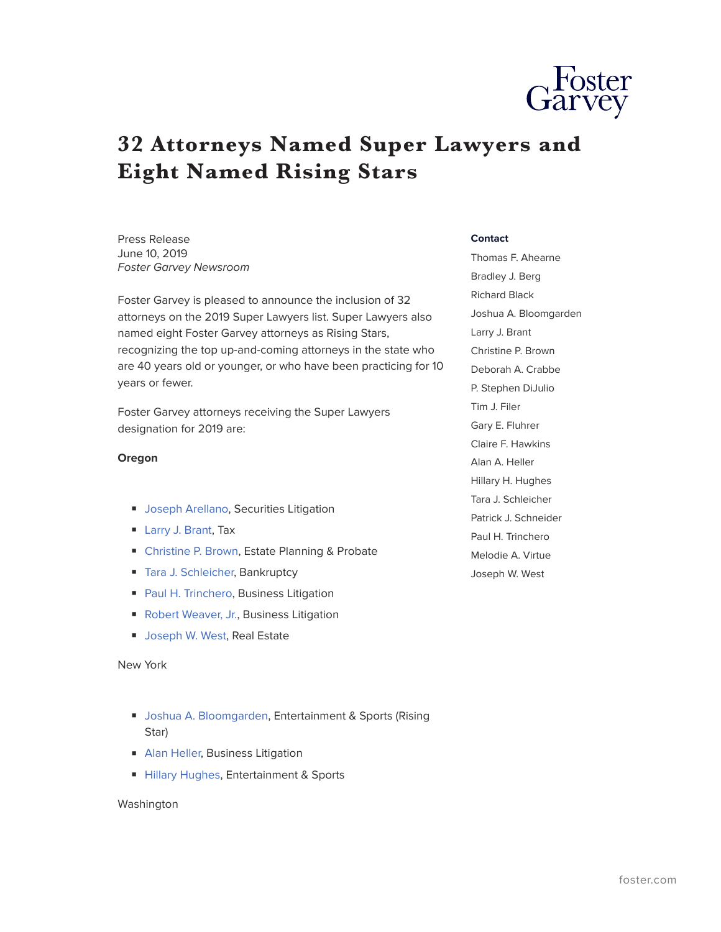

# **32 Attorneys Named Super Lawyers and Eight Named Rising Stars**

Press Release June 10, 2019 *Foster Garvey Newsroom*

Foster Garvey is pleased to announce the inclusion of 32 attorneys on the 2019 Super Lawyers list. Super Lawyers also named eight Foster Garvey attorneys as Rising Stars, recognizing the top up-and-coming attorneys in the state who are 40 years old or younger, or who have been practicing for 10 years or fewer.

Foster Garvey attorneys receiving the Super Lawyers designation for 2019 are:

## **Oregon**

- [Joseph Arellano](https://www.foster.com/people-joseph-arellano), Securities Litigation
- [Larry J. Brant,](https://www.foster.com/people-larry-brant) Tax
- [Christine P. Brown](https://www.foster.com/people-christine-brown), Estate Planning & Probate
- [Tara J. Schleicher,](https://www.foster.com/people-tara-schleicher) Bankruptcy
- [Paul H. Trinchero](https://www.foster.com/people-Paul-H-Trinchero), Business Litigation
- [Robert Weaver, Jr.](https://www.foster.com/people-robert-weaver), Business Litigation
- [Joseph W. West](https://www.foster.com/people-joseph-west), Real Estate

### New York

- [Joshua A. Bloomgarden,](https://www.foster.com/people-joshua-bloomgarden) Entertainment & Sports (Rising Star)
- [Alan Heller,](https://www.foster.com/people-alan-heller) Business Litigation
- [Hillary Hughes](https://www.foster.com/people-hillary-hughes), Entertainment & Sports

### Washington

#### **Contact**

Thomas F. Ahearne Bradley J. Berg Richard Black Joshua A. Bloomgarden Larry J. Brant Christine P. Brown Deborah A. Crabbe P. Stephen DiJulio Tim J. Filer Gary E. Fluhrer Claire F. Hawkins Alan A. Heller Hillary H. Hughes Tara J. Schleicher Patrick J. Schneider Paul H. Trinchero Melodie A. Virtue Joseph W. West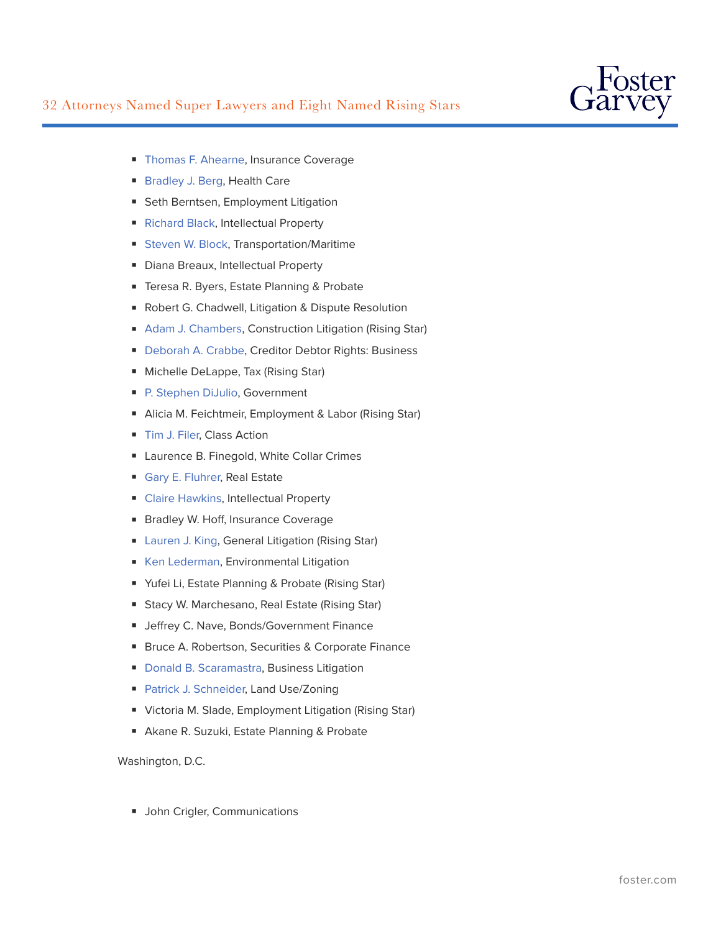

- [Thomas F. Ahearne,](https://www.foster.com/people-thomas-ahearne) Insurance Coverage
- [Bradley J. Berg](https://www.foster.com/people-bradley-berg), Health Care
- Seth Berntsen, Employment Litigation
- [Richard Black,](https://www.foster.com/people-richard-black) Intellectual Property
- [Steven W. Block](https://www.foster.com/people-steven-block), Transportation/Maritime
- Diana Breaux, Intellectual Property
- Teresa R. Byers, Estate Planning & Probate
- Robert G. Chadwell, Litigation & Dispute Resolution
- [Adam J. Chambers,](https://www.foster.com/people-adam-chambers) Construction Litigation (Rising Star)
- [Deborah A. Crabbe,](https://www.foster.com/people-deborah-crabbe) Creditor Debtor Rights: Business
- Michelle DeLappe, Tax (Rising Star)
- [P. Stephen DiJulio,](https://www.foster.com/people-stephen-dijulio) Government
- Alicia M. Feichtmeir, Employment & Labor (Rising Star)
- [Tim J. Filer,](https://www.foster.com/people-tim-filer) Class Action
- Laurence B. Finegold, White Collar Crimes
- [Gary E. Fluhrer,](https://www.foster.com/people-gary-fluhrer) Real Estate
- [Claire Hawkins](https://www.foster.com/people-claire-hawkins), Intellectual Property
- Bradley W. Hoff, Insurance Coverage
- [Lauren J. King,](https://www.foster.com/people-lauren-king) General Litigation (Rising Star)
- [Ken Lederman,](https://www.foster.com/people-ken-lederman) Environmental Litigation
- Yufei Li, Estate Planning & Probate (Rising Star)
- Stacy W. Marchesano, Real Estate (Rising Star)
- Jeffrey C. Nave, Bonds/Government Finance
- Bruce A. Robertson, Securities & Corporate Finance
- [Donald B. Scaramastra](https://www.foster.com/people-donald-scaramastra), Business Litigation
- [Patrick J. Schneider,](https://www.foster.com/people-patrick-schneider) Land Use/Zoning
- Victoria M. Slade, Employment Litigation (Rising Star)
- Akane R. Suzuki, Estate Planning & Probate

Washington, D.C.

■ John Crigler, Communications